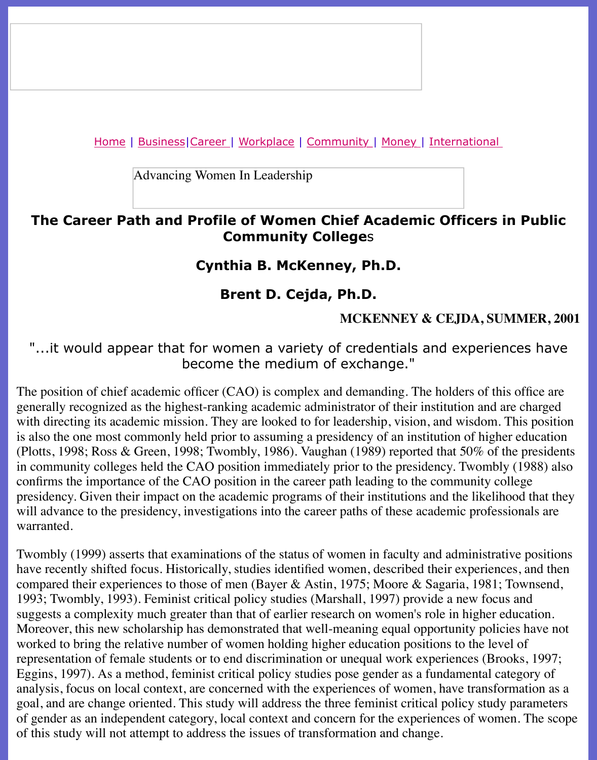Advancing Women In Leadership

# **The Career Path and Profile of Women Chief Academic Officers i [C](file:///awcareer.html)[ommunit](file:///workplace.html)[y College](file:///ub/UltraBoard.cgi)**s

# **Cynthia B. McKenney, Ph.D.**

# **Brent D. Cejda, Ph.D.**

### **MCKENNEY & CEJDA, SUI**

### "...it would appear that for women a variety of credentials and experien become the medium of exchange."

The position of chief academic officer (CAO) is complex and demanding. The holders of this generally recognized as the highest-ranking academic administrator of their institution and a with directing its academic mission. They are looked to for leadership, vision, and wisdom. The vision of the position of  $\sim$ is also the one most commonly held prior to assuming a presidency of an institution of higher (Plotts, 1998; Ross & Green, 1998; Twombly, 1986). Vaughan (1989) reported that 50% of the in community colleges held the CAO position immediately prior to the presidency. Twombly confirms the importance of the CAO position in the career path leading to the community co presidency. Given their impact on the academic programs of their institutions and the likeliho will advance to the presidency, investigations into the career paths of these academic profess warranted.

Twombly (1999) asserts that examinations of the status of women in faculty and administrati have recently shifted focus. Historically, studies identified women, described their experiences compared their experiences to those of men (Bayer & Astin, 1975; Moore & Sagaria, 1981; 1993; Twombly, 1993). Feminist critical policy studies (Marshall, 1997) provide a new focus suggests a complexity much greater than that of earlier research on women's role in higher equation. Moreover, this new scholarship has demonstrated that well-meaning equal opportunity policies worked to bring the relative number of women holding higher education positions to the level representation of female students or to end discrimination or unequal work experiences (Bro Eggins, 1997). As a method, feminist critical policy studies pose gender as a fundamental ca analysis, focus on local context, are concerned with the experiences of women, have transfor goal, and are change oriented. This study will address the three feminist critical policy study of gender as an independent category, local context and concern for the experiences of women. of this study will not attempt to address the issues of transformation and change.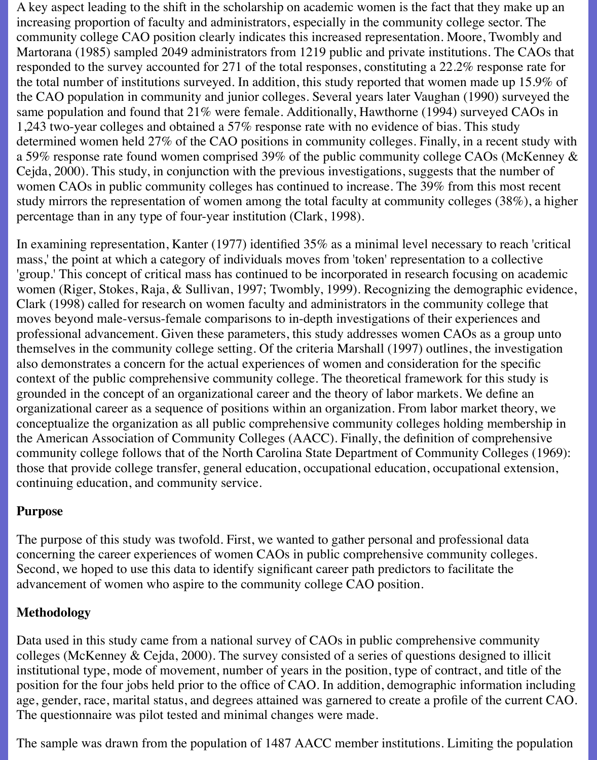A key aspect leading to the shift in the scholarship on academic women is the fact that they make up an increasing proportion of faculty and administrators, especially in the community college sector. The community college CAO position clearly indicates this increased representation. Moore, Twombly and Martorana (1985) sampled 2049 administrators from 1219 public and private institutions. The CAOs that responded to the survey accounted for 271 of the total responses, constituting a 22.2% response rate for the total number of institutions surveyed. In addition, this study reported that women made up 15.9% of the CAO population in community and junior colleges. Several years later Vaughan (1990) surveyed the same population and found that 21% were female. Additionally, Hawthorne (1994) surveyed CAOs in 1,243 two-year colleges and obtained a 57% response rate with no evidence of bias. This study determined women held 27% of the CAO positions in community colleges. Finally, in a recent study with a 59% response rate found women comprised 39% of the public community college CAOs (McKenney & Cejda, 2000). This study, in conjunction with the previous investigations, suggests that the number of women CAOs in public community colleges has continued to increase. The 39% from this most recent study mirrors the representation of women among the total faculty at community colleges (38%), a higher percentage than in any type of four-year institution (Clark, 1998).

In examining representation, Kanter (1977) identified 35% as a minimal level necessary to reach 'critical mass,' the point at which a category of individuals moves from 'token' representation to a collective 'group.' This concept of critical mass has continued to be incorporated in research focusing on academic women (Riger, Stokes, Raja, & Sullivan, 1997; Twombly, 1999). Recognizing the demographic evidence, Clark (1998) called for research on women faculty and administrators in the community college that moves beyond male-versus-female comparisons to in-depth investigations of their experiences and professional advancement. Given these parameters, this study addresses women CAOs as a group unto themselves in the community college setting. Of the criteria Marshall (1997) outlines, the investigation also demonstrates a concern for the actual experiences of women and consideration for the specific context of the public comprehensive community college. The theoretical framework for this study is grounded in the concept of an organizational career and the theory of labor markets. We define an organizational career as a sequence of positions within an organization. From labor market theory, we conceptualize the organization as all public comprehensive community colleges holding membership in the American Association of Community Colleges (AACC). Finally, the definition of comprehensive community college follows that of the North Carolina State Department of Community Colleges (1969): those that provide college transfer, general education, occupational education, occupational extension, continuing education, and community service.

### **Purpose**

The purpose of this study was twofold. First, we wanted to gather personal and professional data concerning the career experiences of women CAOs in public comprehensive community colleges. Second, we hoped to use this data to identify significant career path predictors to facilitate the advancement of women who aspire to the community college CAO position.

# **Methodology**

Data used in this study came from a national survey of CAOs in public comprehensive community colleges (McKenney & Cejda, 2000). The survey consisted of a series of questions designed to illicit institutional type, mode of movement, number of years in the position, type of contract, and title of the position for the four jobs held prior to the office of CAO. In addition, demographic information including age, gender, race, marital status, and degrees attained was garnered to create a profile of the current CAO. The questionnaire was pilot tested and minimal changes were made.

The sample was drawn from the population of 1487 AACC member institutions. Limiting the population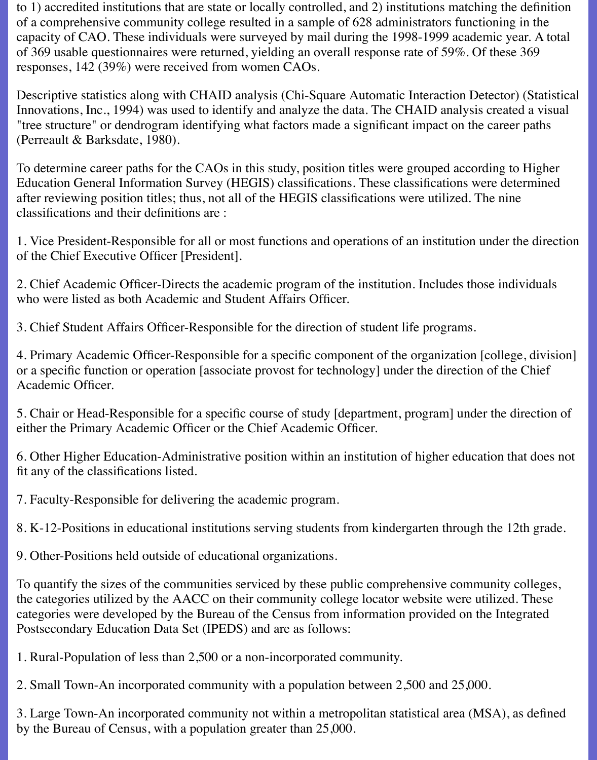to 1) accredited institutions that are state or locally controlled, and 2) institutions matching the definition of a comprehensive community college resulted in a sample of 628 administrators functioning in the capacity of CAO. These individuals were surveyed by mail during the 1998-1999 academic year. A total of 369 usable questionnaires were returned, yielding an overall response rate of 59%. Of these 369 responses, 142 (39%) were received from women CAOs.

Descriptive statistics along with CHAID analysis (Chi-Square Automatic Interaction Detector) (Statistical Innovations, Inc., 1994) was used to identify and analyze the data. The CHAID analysis created a visual "tree structure" or dendrogram identifying what factors made a significant impact on the career paths (Perreault & Barksdate, 1980).

To determine career paths for the CAOs in this study, position titles were grouped according to Higher Education General Information Survey (HEGIS) classifications. These classifications were determined after reviewing position titles; thus, not all of the HEGIS classifications were utilized. The nine classifications and their definitions are :

1. Vice President-Responsible for all or most functions and operations of an institution under the direction of the Chief Executive Officer [President].

2. Chief Academic Officer-Directs the academic program of the institution. Includes those individuals who were listed as both Academic and Student Affairs Officer.

3. Chief Student Affairs Officer-Responsible for the direction of student life programs.

4. Primary Academic Officer-Responsible for a specific component of the organization [college, division] or a specific function or operation [associate provost for technology] under the direction of the Chief Academic Officer.

5. Chair or Head-Responsible for a specific course of study [department, program] under the direction of either the Primary Academic Officer or the Chief Academic Officer.

6. Other Higher Education-Administrative position within an institution of higher education that does not fit any of the classifications listed.

7. Faculty-Responsible for delivering the academic program.

8. K-12-Positions in educational institutions serving students from kindergarten through the 12th grade.

9. Other-Positions held outside of educational organizations.

To quantify the sizes of the communities serviced by these public comprehensive community colleges, the categories utilized by the AACC on their community college locator website were utilized. These categories were developed by the Bureau of the Census from information provided on the Integrated Postsecondary Education Data Set (IPEDS) and are as follows:

1. Rural-Population of less than 2,500 or a non-incorporated community.

2. Small Town-An incorporated community with a population between 2,500 and 25,000.

3. Large Town-An incorporated community not within a metropolitan statistical area (MSA), as defined by the Bureau of Census, with a population greater than 25,000.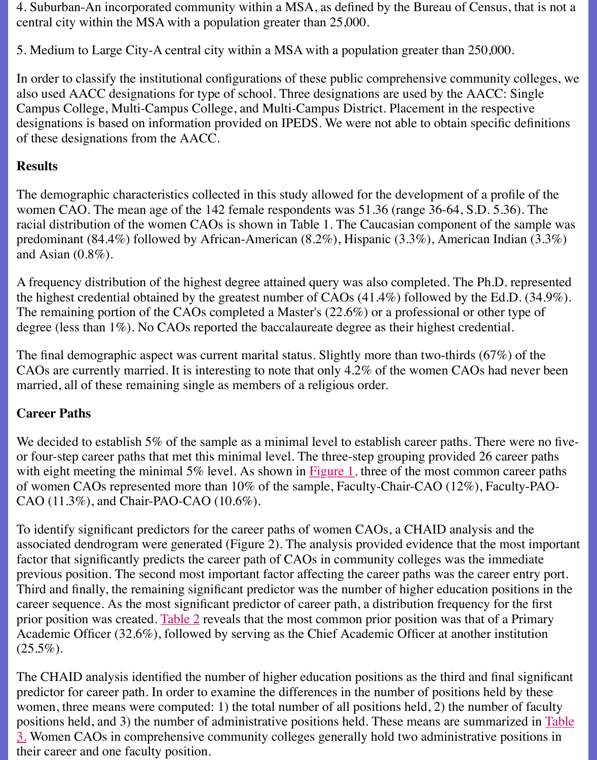Campus College, Multi-Campus College, and Multi-Campus District. Placement in the respe designations is based on information provided on IPEDS. We were not able to obtain specific of these designations from the AACC.

# **Results**

The demographic characteristics collected in this study allowed for the development of a pro women CAO. The mean age of the 142 female respondents was 51.36 (range 36-64, S.D. 5.36). racial distribution of the women CAOs is shown in Table 1. The Caucasian component of the predominant (84.4%) followed by African-American (8.2%), Hispanic (3.3%), American Ind and Asian (0.8%).

A frequency distribution of the highest degree attained query was also completed. The Ph.D. the highest credential obtained by the greatest number of CAOs  $(41.4\%)$  followed by the Ed. The remaining portion of the CAOs completed a Master's  $(22.6%)$  or a professional or other degree (less than 1%). No CAOs reported the baccalaureate degree as their highest credentia

The final demographic aspect was current marital status. Slightly more than two-thirds  $(67\%)$ CAOs are currently married. It is interesting to note that only  $4.2\%$  of the women CAOs had married, all of these remaining single as members of a religious order.

# **Career Paths**

We decided to establish 5% of the sample as a minimal level to establish career paths. There or four-step career paths that met this minimal level. The three-step grouping provided 26 ca with eight meeting the minimal 5% level. As shown in  $Figure 1$ , three of the most common care of women CAOs represented more than  $10\%$  of the sample, Faculty-Chair-CAO (12%), Facu CAO (11.3%), and Chair-PAO-CAO (10.6%).

To identify significant predictors for the career paths of women CAOs, a CHAID analysis and associated dendrogram were generated (Figure 2). The analysis provided evidence that the m factor that significantly predicts the career path of CAOs in community colleges was the imm previous position. The second most important factor af[fecting th](file:///Users/nrahman/Dropbox/AWL/AWL%20BackUP-2/summer2001/cejda_mckenney.html#figure1)e career paths was the career Third and finally, the remaining significant predictor was the number of higher education position career sequence. As the most significant predictor of career path, a distribution frequency for prior position was created. Table 2 reveals that the most common prior position was that of a Academic Officer  $(32.6\%)$ , followed by serving as the Chief Academic Officer at another institution  $(25.5\%).$ 

The CHAID analysis identified the number of higher education positions as the third and final predictor for career path. In order to examine the differences in the number of positions held women, three means were computed: 1) the total number of all positions held, 2) the number positions held, and 3) the n[umber o](file:///Users/nrahman/Dropbox/AWL/AWL%20BackUP-2/summer2001/cejda_mckenney.html#table2)f administrative positions held. These means are summarized in Table 3. Women CAOs in comprehensive community colleges generally hold two administrative p their career and one faculty position.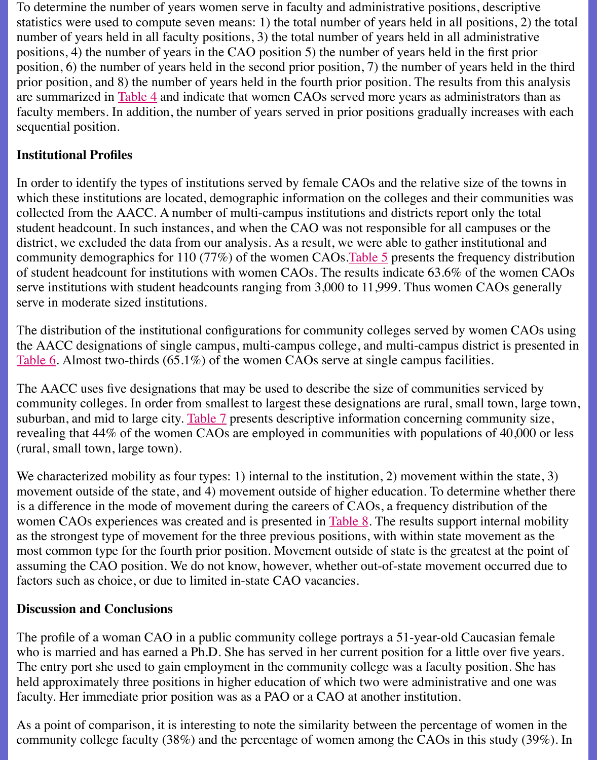are summarized in Table 4 and indicate that women CAOs served more years as administrators than as faculty members. In addition, the number of years served in prior positions gradually increas sequential position.

## **Institutional Profiles**

In order to identify the types of institutions served by female CAOs and the relative size of the towns in the towns in the towns in the towns in the towns in the towns in the towns in the towns in the towns in the towns i which these institu[tions are](file:///Users/nrahman/Dropbox/AWL/AWL%20BackUP-2/summer2001/cejda_mckenney.html#table4) located, demographic information on the colleges and their comm collected from the AACC. A number of multi-campus institutions and districts report only th student headcount. In such instances, and when the CAO was not responsible for all campuse district, we excluded the data from our analysis. As a result, we were able to gather institution community demographics for 110 (77%) of the women CAOs. Table 5 presents the frequency of student headcount for institutions with women CAOs. The results indicate 63.6% of the w serve institutions with student headcounts ranging from  $3,000$  to  $11,999$ . Thus women CAOs serve in moderate sized institutions.

The distribution of the institutional configurations for community colleges served by women the AACC designations of single campus, multi-campus college, and multi-campus district i Table 6. Almost two-thirds (65.1%) of the women CAOs serv[e at sing](file:///Users/nrahman/Dropbox/AWL/AWL%20BackUP-2/summer2001/cejda_mckenney.html#table5)le campus facilities.

The AACC uses five designations that may be used to describe the size of communities service community colleges. In order from smallest to largest these designations are rural, small tow suburban, and mid to large city. Table 7 presents descriptive information concerning community revealing that 44% of the women CAOs are employed in communities with populations of 4 (rural, small town, large town).

[We cha](file:///Users/nrahman/Dropbox/AWL/AWL%20BackUP-2/summer2001/cejda_mckenney.html#table6)racterized mobility as four types: 1) internal to the institution, 2) movement within the state,  $\frac{1}{3}$ movement outside of the state, and 4) movement outside of higher education. To determine v is a difference in the mode of movement during the careers of CAOs, a frequency distribution women CAOs experiences was [created](file:///Users/nrahman/Dropbox/AWL/AWL%20BackUP-2/summer2001/cejda_mckenney.html#table7) and is presented in Table 8. The results support internal as the strongest type of movement for the three previous positions, with within state movement most common type for the fourth prior position. Movement outside of state is the greatest at assuming the CAO position. We do not know, however, whether out-of-state movement occurred to factors such as choice, or due to limited in-state CAO vacancies.

# **Discussion and Conclusions**

The profile of a woman CAO in a public community colle[ge portra](file:///Users/nrahman/Dropbox/AWL/AWL%20BackUP-2/summer2001/cejda_mckenney.html#table8)ys a 51-year-old Caucasia who is married and has earned a Ph.D. She has served in her current position for a little over The entry port she used to gain employment in the community college was a faculty position. held approximately three positions in higher education of which two were administrative and faculty. Her immediate prior position was as a PAO or a CAO at another institution.

As a point of comparison, it is interesting to note the similarity between the percentage of women in the similarity between the percentage of women in the similarity between the percentage of women in the similar value of community college faculty (38%) and the percentage of women among the CAOs in this stud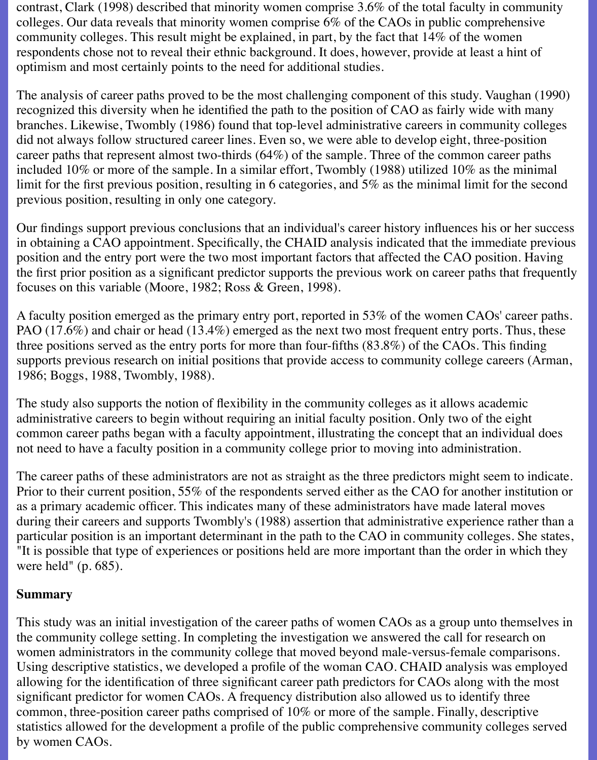contrast, Clark (1998) described that minority women comprise 3.6% of the total faculty in community colleges. Our data reveals that minority women comprise 6% of the CAOs in public comprehensive community colleges. This result might be explained, in part, by the fact that 14% of the women respondents chose not to reveal their ethnic background. It does, however, provide at least a hint of optimism and most certainly points to the need for additional studies.

The analysis of career paths proved to be the most challenging component of this study. Vaughan (1990) recognized this diversity when he identified the path to the position of CAO as fairly wide with many branches. Likewise, Twombly (1986) found that top-level administrative careers in community colleges did not always follow structured career lines. Even so, we were able to develop eight, three-position career paths that represent almost two-thirds (64%) of the sample. Three of the common career paths included 10% or more of the sample. In a similar effort, Twombly (1988) utilized 10% as the minimal limit for the first previous position, resulting in 6 categories, and 5% as the minimal limit for the second previous position, resulting in only one category.

Our findings support previous conclusions that an individual's career history influences his or her success in obtaining a CAO appointment. Specifically, the CHAID analysis indicated that the immediate previous position and the entry port were the two most important factors that affected the CAO position. Having the first prior position as a significant predictor supports the previous work on career paths that frequently focuses on this variable (Moore, 1982; Ross & Green, 1998).

A faculty position emerged as the primary entry port, reported in 53% of the women CAOs' career paths. PAO (17.6%) and chair or head (13.4%) emerged as the next two most frequent entry ports. Thus, these three positions served as the entry ports for more than four-fifths (83.8%) of the CAOs. This finding supports previous research on initial positions that provide access to community college careers (Arman, 1986; Boggs, 1988, Twombly, 1988).

The study also supports the notion of flexibility in the community colleges as it allows academic administrative careers to begin without requiring an initial faculty position. Only two of the eight common career paths began with a faculty appointment, illustrating the concept that an individual does not need to have a faculty position in a community college prior to moving into administration.

The career paths of these administrators are not as straight as the three predictors might seem to indicate. Prior to their current position, 55% of the respondents served either as the CAO for another institution or as a primary academic officer. This indicates many of these administrators have made lateral moves during their careers and supports Twombly's (1988) assertion that administrative experience rather than a particular position is an important determinant in the path to the CAO in community colleges. She states, "It is possible that type of experiences or positions held are more important than the order in which they were held" (p. 685).

#### **Summary**

This study was an initial investigation of the career paths of women CAOs as a group unto themselves in the community college setting. In completing the investigation we answered the call for research on women administrators in the community college that moved beyond male-versus-female comparisons. Using descriptive statistics, we developed a profile of the woman CAO. CHAID analysis was employed allowing for the identification of three significant career path predictors for CAOs along with the most significant predictor for women CAOs. A frequency distribution also allowed us to identify three common, three-position career paths comprised of 10% or more of the sample. Finally, descriptive statistics allowed for the development a profile of the public comprehensive community colleges served by women CAOs.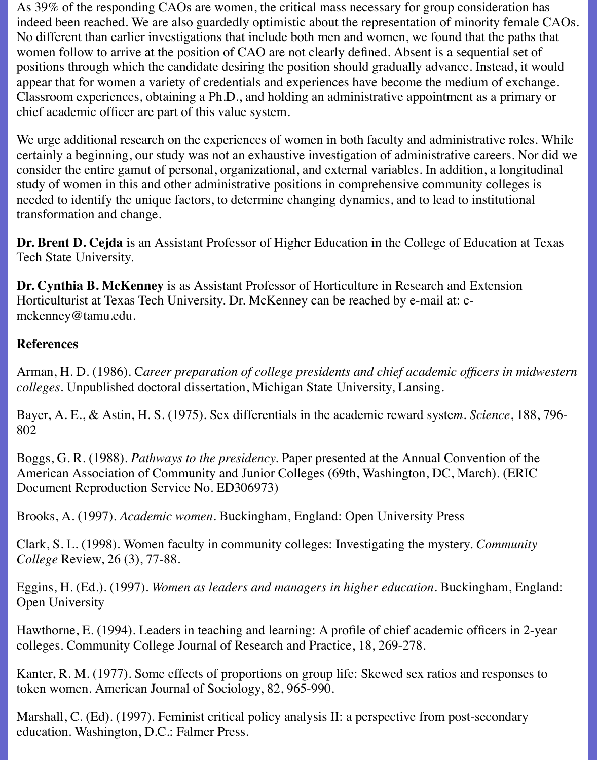As 39% of the responding CAOs are women, the critical mass necessary for group consideration has indeed been reached. We are also guardedly optimistic about the representation of minority female CAOs. No different than earlier investigations that include both men and women, we found that the paths that women follow to arrive at the position of CAO are not clearly defined. Absent is a sequential set of positions through which the candidate desiring the position should gradually advance. Instead, it would appear that for women a variety of credentials and experiences have become the medium of exchange. Classroom experiences, obtaining a Ph.D., and holding an administrative appointment as a primary or chief academic officer are part of this value system.

We urge additional research on the experiences of women in both faculty and administrative roles. While certainly a beginning, our study was not an exhaustive investigation of administrative careers. Nor did we consider the entire gamut of personal, organizational, and external variables. In addition, a longitudinal study of women in this and other administrative positions in comprehensive community colleges is needed to identify the unique factors, to determine changing dynamics, and to lead to institutional transformation and change.

**Dr. Brent D. Cejda** is an Assistant Professor of Higher Education in the College of Education at Texas Tech State University.

**Dr. Cynthia B. McKenney** is as Assistant Professor of Horticulture in Research and Extension Horticulturist at Texas Tech University. Dr. McKenney can be reached by e-mail at: cmckenney@tamu.edu.

### **References**

Arman, H. D. (1986). C*areer preparation of college presidents and chief academic officers in midwestern colleges*. Unpublished doctoral dissertation, Michigan State University, Lansing.

Bayer, A. E., & Astin, H. S. (1975). Sex differentials in the academic reward syste*m. Science*, 188, 796- 802

Boggs, G. R. (1988). *Pathways to the presidency.* Paper presented at the Annual Convention of the American Association of Community and Junior Colleges (69th, Washington, DC, March). (ERIC Document Reproduction Service No. ED306973)

Brooks, A. (1997). *Academic women*. Buckingham, England: Open University Press

Clark, S. L. (1998). Women faculty in community colleges: Investigating the mystery. *Community College* Review, 26 (3), 77-88.

Eggins, H. (Ed.). (1997). *Women as leaders and managers in higher education*. Buckingham, England: Open University

Hawthorne, E. (1994). Leaders in teaching and learning: A profile of chief academic officers in 2-year colleges. Community College Journal of Research and Practice, 18, 269-278.

Kanter, R. M. (1977). Some effects of proportions on group life: Skewed sex ratios and responses to token women. American Journal of Sociology, 82, 965-990.

Marshall, C. (Ed). (1997). Feminist critical policy analysis II: a perspective from post-secondary education. Washington, D.C.: Falmer Press.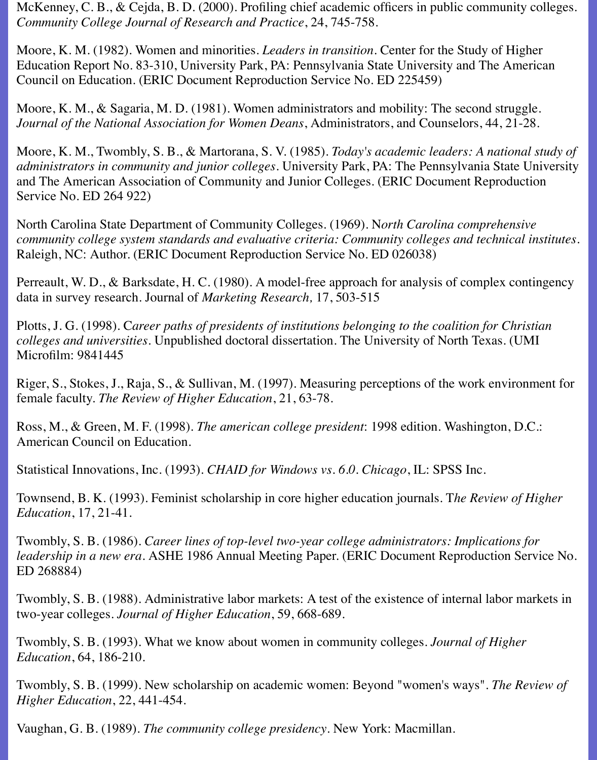McKenney, C. B., & Cejda, B. D. (2000). Profiling chief academic officers in public community colleges. *Community College Journal of Research and Practice*, 24, 745-758.

Moore, K. M. (1982). Women and minorities. *Leaders in transition*. Center for the Study of Higher Education Report No. 83-310, University Park, PA: Pennsylvania State University and The American Council on Education. (ERIC Document Reproduction Service No. ED 225459)

Moore, K. M., & Sagaria, M. D. (1981). Women administrators and mobility: The second struggle. *Journal of the National Association for Women Deans*, Administrators, and Counselors, 44, 21-28.

Moore, K. M., Twombly, S. B., & Martorana, S. V. (1985). *Today's academic leaders: A national study of administrators in community and junior colleges.* University Park, PA: The Pennsylvania State University and The American Association of Community and Junior Colleges. (ERIC Document Reproduction Service No. ED 264 922)

North Carolina State Department of Community Colleges. (1969). N*orth Carolina comprehensive community college system standards and evaluative criteria: Community colleges and technical institutes*. Raleigh, NC: Author. (ERIC Document Reproduction Service No. ED 026038)

Perreault, W. D., & Barksdate, H. C. (1980). A model-free approach for analysis of complex contingency data in survey research. Journal of *Marketing Research,* 17, 503-515

Plotts, J. G. (1998). C*areer paths of presidents of institutions belonging to the coalition for Christian colleges and universities.* Unpublished doctoral dissertation. The University of North Texas. (UMI Microfilm: 9841445

Riger, S., Stokes, J., Raja, S., & Sullivan, M. (1997). Measuring perceptions of the work environment for female faculty. *The Review of Higher Education*, 21, 63-78.

Ross, M., & Green, M. F. (1998). *The american college president*: 1998 edition. Washington, D.C.: American Council on Education.

Statistical Innovations, Inc. (1993). *CHAID for Windows vs. 6.0. Chicago*, IL: SPSS Inc.

Townsend, B. K. (1993). Feminist scholarship in core higher education journals. T*he Review of Higher Education*, 17, 21-41.

Twombly, S. B. (1986). *Career lines of top-level two-year college administrators: Implications for leadership in a new era*. ASHE 1986 Annual Meeting Paper. (ERIC Document Reproduction Service No. ED 268884)

Twombly, S. B. (1988). Administrative labor markets: A test of the existence of internal labor markets in two-year colleges. *Journal of Higher Education*, 59, 668-689.

Twombly, S. B. (1993). What we know about women in community colleges. *Journal of Higher Education*, 64, 186-210.

Twombly, S. B. (1999). New scholarship on academic women: Beyond "women's ways". *The Review of Higher Education*, 22, 441-454.

Vaughan, G. B. (1989). *The community college presidency*. New York: Macmillan.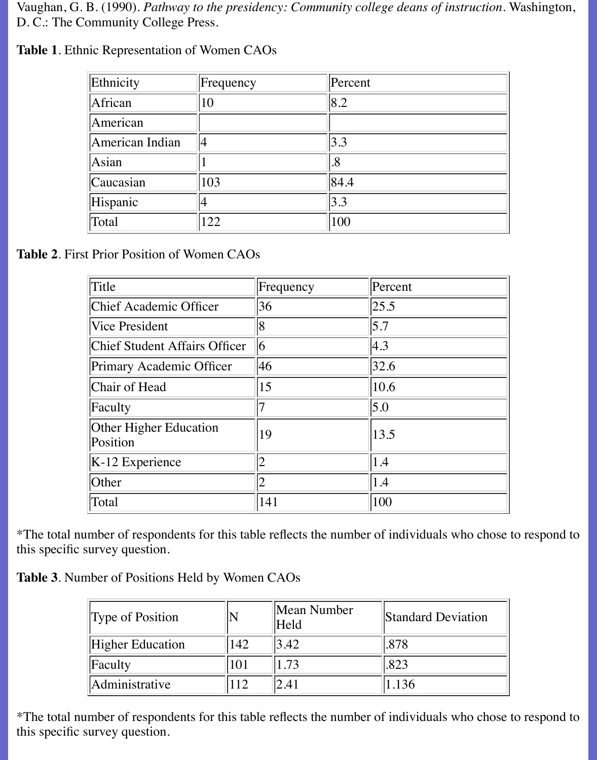Vaughan, G. B. (1990). *Pathway to the presidency: Community college deans of instruction*. Washington, D. C.: The Community College Press.

| Ethnicity       | Frequency | Percent |
|-----------------|-----------|---------|
| African         | 10        | 8.2     |
| American        |           |         |
| American Indian |           | 3.3     |
| Asian           |           | .8      |
| Caucasian       | 103       | 84.4    |
| Hispanic        |           | 3.3     |
| Total           | 122       | 100     |

**Table 1**. Ethnic Representation of Women CAOs

**Table 2**. First Prior Position of Women CAOs

| Title                                     | Frequency      | Percent           |
|-------------------------------------------|----------------|-------------------|
| Chief Academic Officer                    | 36             | 25.5              |
| <b>Vice President</b>                     | 8              | $\vert 5.7 \vert$ |
| Chief Student Affairs Officer             | $\overline{6}$ | 4.3               |
| Primary Academic Officer                  | 46             | 32.6              |
| Chair of Head                             | 15             | 10.6              |
| Faculty                                   |                | $\vert 5.0 \vert$ |
| <b>Other Higher Education</b><br>Position | 19             | 13.5              |
| $K-12$ Experience                         |                | 1.4               |
| Other                                     |                | 1.4               |
| Total                                     | 141            | 100               |

\*The total number of respondents for this table reflects the number of individuals who chose to respond to this specific survey question.

**Table 3**. Number of Positions Held by Women CAOs

| Type of Position        |     | Mean Number<br>Held | Standard Deviation |  |
|-------------------------|-----|---------------------|--------------------|--|
| <b>Higher Education</b> | 142 | 3.42                | .878               |  |
| Faculty                 | 101 | 1.73                | .823               |  |
| Administrative          |     | 2.41                | 1.136              |  |

\*The total number of respondents for this table reflects the number of individuals who chose to respond to this specific survey question.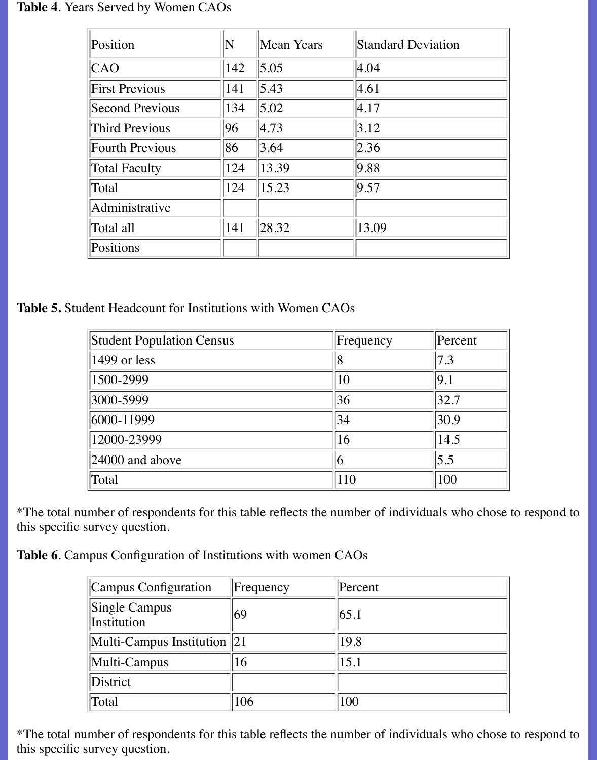#### **Table 4**. Years Served by Women CAOs

| Position               | N   | Mean Years | <b>Standard Deviation</b> |  |
|------------------------|-----|------------|---------------------------|--|
| CAO                    | 142 | 5.05       | 4.04                      |  |
| <b>First Previous</b>  | 141 | 5.43       | 4.61                      |  |
| Second Previous        | 134 | 5.02       | 4.17                      |  |
| Third Previous         | 96  | 4.73       | 3.12                      |  |
| <b>Fourth Previous</b> | 86  | 3.64       | 2.36                      |  |
| <b>Total Faculty</b>   | 124 | 13.39      | 9.88                      |  |
| Total                  | 124 | 15.23      | 9.57                      |  |
| Administrative         |     |            |                           |  |
| Total all              | 141 | 28.32      | 13.09                     |  |
| Positions              |     |            |                           |  |

**Table 5.** Student Headcount for Institutions with Women CAOs

| <b>Student Population Census</b> | Frequency     | Percent           |
|----------------------------------|---------------|-------------------|
| $\parallel$ 1499 or less         | 18            | $\vert 7.3 \vert$ |
| 1500-2999                        | 10            | 9.1               |
| 3000-5999                        | 36            | 32.7              |
| 6000-11999                       | 34            | 30.9              |
| 12000-23999                      | <sup>16</sup> | 14.5              |
| $ 24000 \text{ and above} $      | 16            | $\vert 5.5 \vert$ |
| Total                            | 110           | 100               |

\*The total number of respondents for this table reflects the number of individuals who chose to respond to this specific survey question.

**Table 6**. Campus Configuration of Institutions with women CAOs

| Campus Configuration                        | Frequency | Percent |
|---------------------------------------------|-----------|---------|
| Single Campus<br>Institution                | 169       | 65.1    |
| $\vert$ Multi-Campus Institution $\vert$ 21 |           | 19.8    |
| Multi-Campus                                | 6         | 15.1    |
| District                                    |           |         |
| Total                                       | 106       | 100     |

\*The total number of respondents for this table reflects the number of individuals who chose to respond to this specific survey question.